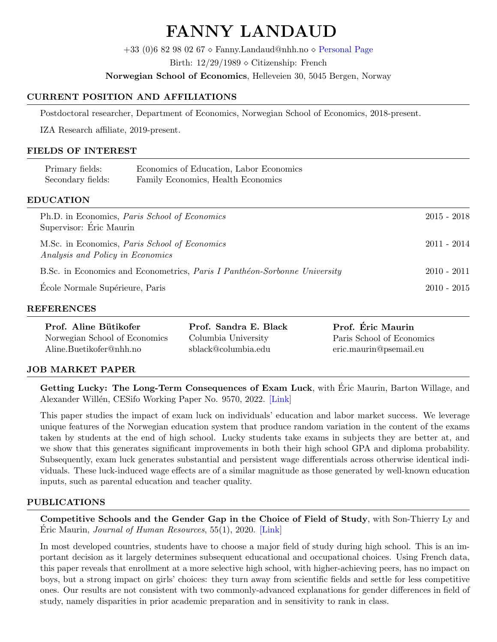# FANNY LANDAUD

 $+33$  (0)6 82 98 02 67  $\Diamond$  Fanny.Landaud@nhh.no  $\Diamond$  [Personal Page](https://sites.google.com/view/fannylandaud/home)

Birth:  $12/29/1989 \diamond$  Citizenship: French

Norwegian School of Economics, Helleveien 30, 5045 Bergen, Norway

## CURRENT POSITION AND AFFILIATIONS

Postdoctoral researcher, Department of Economics, Norwegian School of Economics, 2018-present.

IZA Research affiliate, 2019-present.

## FIELDS OF INTEREST

| Primary fields:   | Economics of Education, Labor Economics |
|-------------------|-----------------------------------------|
| Secondary fields: | Family Economics, Health Economics      |
|                   |                                         |
| <b>EDUCATION</b>  |                                         |

| Ph.D. in Economics, <i>Paris School of Economics</i><br>Supervisor: Eric Maurin          | $2015 - 2018$ |
|------------------------------------------------------------------------------------------|---------------|
| M.Sc. in Economics, <i>Paris School of Economics</i><br>Analysis and Policy in Economics | $2011 - 2014$ |
| B.Sc. in Economics and Econometrics, Paris I Panthéon-Sorbonne University                | $2010 - 2011$ |
| Ecole Normale Supérieure, Paris                                                          | $2010 - 2015$ |

#### REFERENCES

| Prof. Aline Bütikofer         | Prof. Sandra E. Black | Prof. Éric Maurin         |
|-------------------------------|-----------------------|---------------------------|
| Norwegian School of Economics | Columbia University   | Paris School of Economics |
| Aline.Buetikofer@nhh.no       | sblack@columbia.edu   | eric.maurin@psemail.eu    |

## JOB MARKET PAPER

Getting Lucky: The Long-Term Consequences of Exam Luck, with Éric Maurin, Barton Willage, and Alexander Willén, CESifo Working Paper No. 9570, 2022. [\[Link\]](https://drive.google.com/file/d/1DioHNCtZaqnC0vFNvrZtF2y8A7HKl334/view?usp=sharing)

This paper studies the impact of exam luck on individuals' education and labor market success. We leverage unique features of the Norwegian education system that produce random variation in the content of the exams taken by students at the end of high school. Lucky students take exams in subjects they are better at, and we show that this generates significant improvements in both their high school GPA and diploma probability. Subsequently, exam luck generates substantial and persistent wage differentials across otherwise identical individuals. These luck-induced wage effects are of a similar magnitude as those generated by well-known education inputs, such as parental education and teacher quality.

## PUBLICATIONS

Competitive Schools and the Gender Gap in the Choice of Field of Study, with Son-Thierry Ly and Eric Maurin, *Journal of Human Resources*,  $55(1)$ ,  $2020$ . [\[Link\]](https://drive.google.com/file/d/1Nbsec6ctqlYemwlzIB6pjOaOb8atmB34/view?usp=sharing)

In most developed countries, students have to choose a major field of study during high school. This is an important decision as it largely determines subsequent educational and occupational choices. Using French data, this paper reveals that enrollment at a more selective high school, with higher-achieving peers, has no impact on boys, but a strong impact on girls' choices: they turn away from scientific fields and settle for less competitive ones. Our results are not consistent with two commonly-advanced explanations for gender differences in field of study, namely disparities in prior academic preparation and in sensitivity to rank in class.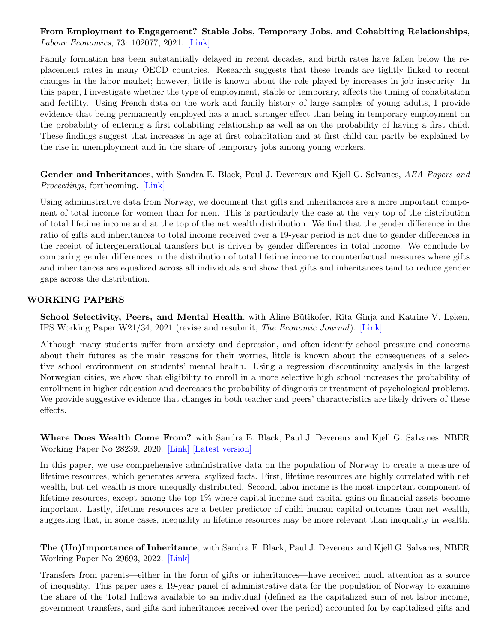## From Employment to Engagement? Stable Jobs, Temporary Jobs, and Cohabiting Relationships, Labour Economics, 73: 102077, 2021. [\[Link\]](https://drive.google.com/file/d/1DjX6SqtyVfjeA-GPH1Oyd0f9zA27g3QJ/view?usp=sharing)

Family formation has been substantially delayed in recent decades, and birth rates have fallen below the replacement rates in many OECD countries. Research suggests that these trends are tightly linked to recent changes in the labor market; however, little is known about the role played by increases in job insecurity. In this paper, I investigate whether the type of employment, stable or temporary, affects the timing of cohabitation and fertility. Using French data on the work and family history of large samples of young adults, I provide evidence that being permanently employed has a much stronger effect than being in temporary employment on the probability of entering a first cohabiting relationship as well as on the probability of having a first child. These findings suggest that increases in age at first cohabitation and at first child can partly be explained by the rise in unemployment and in the share of temporary jobs among young workers.

Gender and Inheritances, with Sandra E. Black, Paul J. Devereux and Kjell G. Salvanes, AEA Papers and Proceedings, forthcoming. [\[Link\]](https://drive.google.com/file/d/1AUdC88gryTMK6CHwUpDsIBjp7Cwp8xFV/view?usp=sharing)

Using administrative data from Norway, we document that gifts and inheritances are a more important component of total income for women than for men. This is particularly the case at the very top of the distribution of total lifetime income and at the top of the net wealth distribution. We find that the gender difference in the ratio of gifts and inheritances to total income received over a 19-year period is not due to gender differences in the receipt of intergenerational transfers but is driven by gender differences in total income. We conclude by comparing gender differences in the distribution of total lifetime income to counterfactual measures where gifts and inheritances are equalized across all individuals and show that gifts and inheritances tend to reduce gender gaps across the distribution.

## WORKING PAPERS

School Selectivity, Peers, and Mental Health, with Aline Bütikofer, Rita Ginja and Katrine V. Løken, IFS Working Paper W21/34, 2021 (revise and resubmit, The Economic Journal). [\[Link\]](https://drive.google.com/file/d/1u4hcAbMTEnuSJhh6UFjaCxbEAazVGxnA/view?usp=sharing)

Although many students suffer from anxiety and depression, and often identify school pressure and concerns about their futures as the main reasons for their worries, little is known about the consequences of a selective school environment on students' mental health. Using a regression discontinuity analysis in the largest Norwegian cities, we show that eligibility to enroll in a more selective high school increases the probability of enrollment in higher education and decreases the probability of diagnosis or treatment of psychological problems. We provide suggestive evidence that changes in both teacher and peers' characteristics are likely drivers of these effects.

Where Does Wealth Come From? with Sandra E. Black, Paul J. Devereux and Kjell G. Salvanes, NBER Working Paper No 28239, 2020. [\[Link\]](https://drive.google.com/file/d/1bRepCZ85dGo3YbeYLsLt_z_Z2AfiJmNB/view?usp=sharing) [\[Latest version\]](https://drive.google.com/file/d/1cy0wFZhoOEVGtQjTzrBizd5kR_2RmaGC/view?usp=sharing)

In this paper, we use comprehensive administrative data on the population of Norway to create a measure of lifetime resources, which generates several stylized facts. First, lifetime resources are highly correlated with net wealth, but net wealth is more unequally distributed. Second, labor income is the most important component of lifetime resources, except among the top 1% where capital income and capital gains on financial assets become important. Lastly, lifetime resources are a better predictor of child human capital outcomes than net wealth, suggesting that, in some cases, inequality in lifetime resources may be more relevant than inequality in wealth.

The (Un)Importance of Inheritance, with Sandra E. Black, Paul J. Devereux and Kjell G. Salvanes, NBER Working Paper No 29693, 2022. [\[Link\]](https://drive.google.com/file/d/1aGNRbsxbRFUBOn1eFOQPBAPPgAhpe3q3/view?usp=sharing)

Transfers from parents—either in the form of gifts or inheritances—have received much attention as a source of inequality. This paper uses a 19-year panel of administrative data for the population of Norway to examine the share of the Total Inflows available to an individual (defined as the capitalized sum of net labor income, government transfers, and gifts and inheritances received over the period) accounted for by capitalized gifts and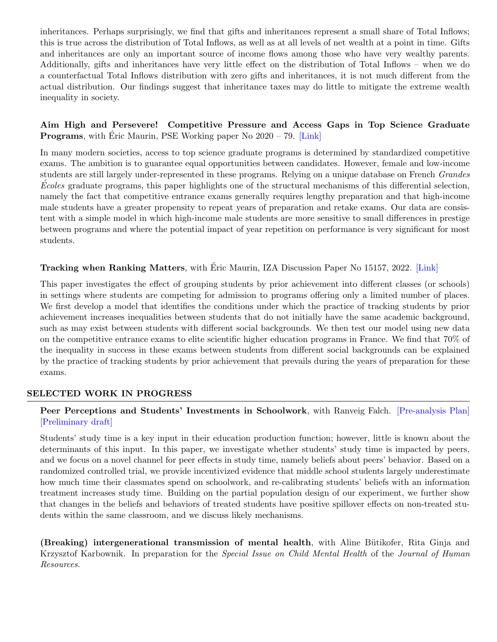inheritances. Perhaps surprisingly, we find that gifts and inheritances represent a small share of Total Inflows; this is true across the distribution of Total Inflows, as well as at all levels of net wealth at a point in time. Gifts and inheritances are only an important source of income flows among those who have very wealthy parents. Additionally, gifts and inheritances have very little effect on the distribution of Total Inflows – when we do a counterfactual Total Inflows distribution with zero gifts and inheritances, it is not much different from the actual distribution. Our findings suggest that inheritance taxes may do little to mitigate the extreme wealth inequality in society.

## Aim High and Persevere! Competitive Pressure and Access Gaps in Top Science Graduate **Programs**, with Éric Maurin, PSE Working paper No  $2020 - 79$ . [\[Link\]](https://drive.google.com/file/d/1hF8Lf90peq3TQXr16ufQJxMm3oD6Hn8k/view?usp=sharing)

In many modern societies, access to top science graduate programs is determined by standardized competitive exams. The ambition is to guarantee equal opportunities between candidates. However, female and low-income students are still largely under-represented in these programs. Relying on a unique database on French Grandes Ecoles graduate programs, this paper highlights one of the structural mechanisms of this differential selection, namely the fact that competitive entrance exams generally requires lengthy preparation and that high-income male students have a greater propensity to repeat years of preparation and retake exams. Our data are consistent with a simple model in which high-income male students are more sensitive to small differences in prestige between programs and where the potential impact of year repetition on performance is very significant for most students.

## Tracking when Ranking Matters, with Éric Maurin, IZA Discussion Paper No 15157, 2022. [\[Link\]](https://drive.google.com/file/d/1eztfdJiJWH1feNENUYeMG6lYiHwMvarM/view?usp=sharing)

This paper investigates the effect of grouping students by prior achievement into different classes (or schools) in settings where students are competing for admission to programs offering only a limited number of places. We first develop a model that identifies the conditions under which the practice of tracking students by prior achievement increases inequalities between students that do not initially have the same academic background, such as may exist between students with different social backgrounds. We then test our model using new data on the competitive entrance exams to elite scientific higher education programs in France. We find that 70% of the inequality in success in these exams between students from different social backgrounds can be explained by the practice of tracking students by prior achievement that prevails during the years of preparation for these exams.

## SELECTED WORK IN PROGRESS

## Peer Perceptions and Students' Investments in Schoolwork, with Ranveig Falch. [\[Pre-analysis Plan\]](https://www.socialscienceregistry.org/trials/5514) [\[Preliminary draft\]](https://drive.google.com/file/d/1mRG5hqDDFRL4uQ1HLjEcSgiAw1W2ywzf/view?usp=sharing)

Students' study time is a key input in their education production function; however, little is known about the determinants of this input. In this paper, we investigate whether students' study time is impacted by peers, and we focus on a novel channel for peer effects in study time, namely beliefs about peers' behavior. Based on a randomized controlled trial, we provide incentivized evidence that middle school students largely underestimate how much time their classmates spend on schoolwork, and re-calibrating students' beliefs with an information treatment increases study time. Building on the partial population design of our experiment, we further show that changes in the beliefs and behaviors of treated students have positive spillover effects on non-treated students within the same classroom, and we discuss likely mechanisms.

(Breaking) intergenerational transmission of mental health, with Aline Bütikofer, Rita Ginja and Krzysztof Karbownik. In preparation for the Special Issue on Child Mental Health of the Journal of Human Resources.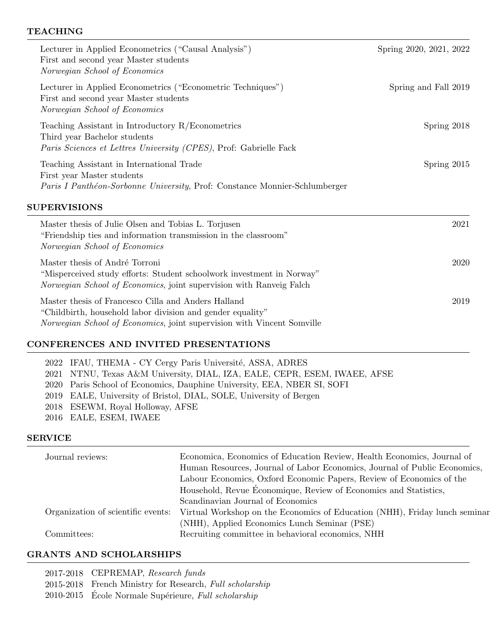#### TEACHING

| Lecturer in Applied Econometrics ("Causal Analysis")<br>First and second year Master students<br>Norwegian School of Economics                                                 | Spring 2020, 2021, 2022 |
|--------------------------------------------------------------------------------------------------------------------------------------------------------------------------------|-------------------------|
| Lecturer in Applied Econometrics ("Econometric Techniques")<br>First and second year Master students<br>Norwegian School of Economics                                          | Spring and Fall 2019    |
| Teaching Assistant in Introductory $R/E$ conometrics<br>Third year Bachelor students<br><i>Paris Sciences et Lettres University (CPES)</i> , Prof: Gabrielle Fack              | Spring 2018             |
| Teaching Assistant in International Trade<br>First year Master students<br><i>Paris I Panthéon-Sorbonne University</i> , Prof: Constance Monnier-Schlumberger                  | Spring 2015             |
| <b>SUPERVISIONS</b>                                                                                                                                                            |                         |
| Master thesis of Julie Olsen and Tobias L. Torjusen<br>"Friendship ties and information transmission in the classroom"<br>Norwegian School of Economics                        | 2021                    |
| Master thesis of André Torroni<br>"Misperceived study efforts: Student schoolwork investment in Norway"<br>Norwegian School of Economics, joint supervision with Ranveig Falch | 2020                    |
| Master thesis of Francesco Cilla and Anders Halland                                                                                                                            | 2019                    |

"Childbirth, household labor division and gender equality" Norwegian School of Economics, joint supervision with Vincent Somville

## CONFERENCES AND INVITED PRESENTATIONS

2022 IFAU, THEMA - CY Cergy Paris Université, ASSA, ADRES NTNU, Texas A&M University, DIAL, IZA, EALE, CEPR, ESEM, IWAEE, AFSE Paris School of Economics, Dauphine University, EEA, NBER SI, SOFI EALE, University of Bristol, DIAL, SOLE, University of Bergen ESEWM, Royal Holloway, AFSE EALE, ESEM, IWAEE

#### SERVICE

| Journal reviews: | Economica, Economics of Education Review, Health Economics, Journal of                                        |
|------------------|---------------------------------------------------------------------------------------------------------------|
|                  | Human Resources, Journal of Labor Economics, Journal of Public Economics,                                     |
|                  | Labour Economics, Oxford Economic Papers, Review of Economics of the                                          |
|                  | Household, Revue Economique, Review of Economics and Statistics,                                              |
|                  | Scandinavian Journal of Economics                                                                             |
|                  | Organization of scientific events: Virtual Workshop on the Economics of Education (NHH), Friday lunch seminar |
|                  | (NHH), Applied Economics Lunch Seminar (PSE)                                                                  |
| Committees:      | Recruiting committee in behavioral economics, NHH                                                             |

## GRANTS AND SCHOLARSHIPS

| 2017-2018 CEPREMAP, Research funds                       |
|----------------------------------------------------------|
| 2015-2018 French Ministry for Research, Full scholarship |
| 2010-2015 École Normale Supérieure, Full scholarship     |